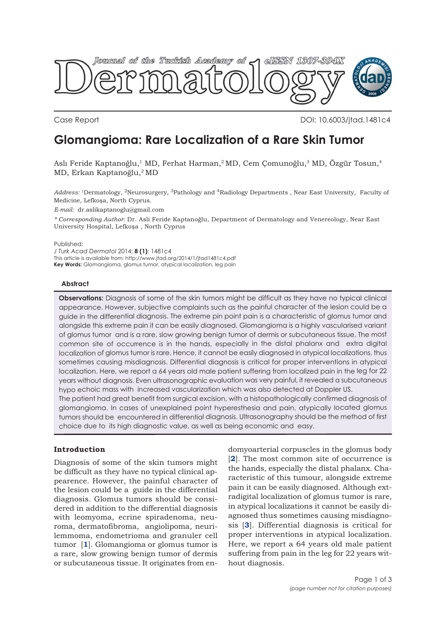

Case Report **Case Report** 2001: 10.6003/jtad.1481c4

# **Glomangioma: Rare Localization of a Rare Skin Tumor**

Aslı Feride Kaptanoğlu,<sup>1</sup> MD, Ferhat Harman,<sup>2</sup> MD, Cem Çomunoğlu,<sup>3</sup> MD, Özgür Tosun,<sup>4</sup> MD, Erkan Kaptanoğlu,2 MD

*Address:* 1Dermatology, 2Neurosurgery, 3Pathology and 4Radiology Departments , Near East University, Faculty of Medicine, Lefkoşa, North Cyprus.

*E-mail:* dr.aslikaptanoglu@gmail.com

*\* Corresponding Author:* Dr. Asli Feride Kaptanoğlu, Department of Dermatology and Venereology, Near East University Hospital, Lefkoşa , North Cyprus

Published:

*J Turk Acad Dermatol* 2014; **8 (1)**: 1481c4 This article is available from: http://www.jtad.org/2014/1/jtad1481c4.pdf **Key Words:** Glomangioma, glomus tumor, atypical localization, leg pain

## **Abstract**

**Observations:** Diagnosis of some of the skin tumors might be difficult as they have no typical clinical appearance. However, subjective complaints such as the painful character of the lesion could be a guide in the differential diagnosis. The extreme pin point pain is a characteristic of glomus tumor and alongside this extreme pain it can be easily diagnosed. Glomangioma is a highly vascularised variant of glomus tumor and is a rare, slow growing benign tumor of dermis or subcutaneous tissue. The most common site of occurrence is in the hands, especially in the distal phalanx and extra digital localization of glomus tumor is rare. Hence, it cannot be easily diagnosed in atypical localizations, thus sometimes causing misdiagnosis. Differential diagnosis is critical for proper interventions in atypical localization. Here, we report a 64 years old male patient suffering from localized pain in the leg for 22 years without diagnosis. Even ultrasonographic evaluation was very painful, it revealed a subcutaneous hypo echoic mass with increased vascularization which was also detected at Doppler US. The patient had great benefit from surgical excision, with a histopathologically confirmed diagnosis of glomangioma. In cases of unexplained point hyperesthesia and pain, atypically located glomus tumors should be encountered in differential diagnosis. Ultrasonography should be the method of first

choice due to its high diagnostic value, as well as being economic and easy.

# **Introduction**

Diagnosis of some of the skin tumors might be difficult as they have no typical clinical appearence. However, the painful character of the lesion could be a guide in the differential diagnosis. Glomus tumors should be considered in addition to the differential diagnosis with leomyoma, ecrine spiradenoma, neuroma, dermatofibroma, angiolipoma, neurilemmoma, endometrioma and granuler cell tumor [**1**]. Glomangioma or glomus tumor is a rare, slow growing benign tumor of dermis or subcutaneous tissue. It originates from en-

domyoarterial corpuscles in the glomus body [**2**]. The most common site of occurrence is the hands, especially the distal phalanx. Characteristic of this tumour, alongside extreme pain it can be easily diagnosed. Although extradigital localization of glomus tumor is rare, in atypical localizations it cannot be easily diagnosed thus sometimes causing misdiagnosis [**3**]. Differential diagnosis is critical for proper interventions in atypical localization. Here, we report a 64 years old male patient suffering from pain in the leg for 22 years without diagnosis.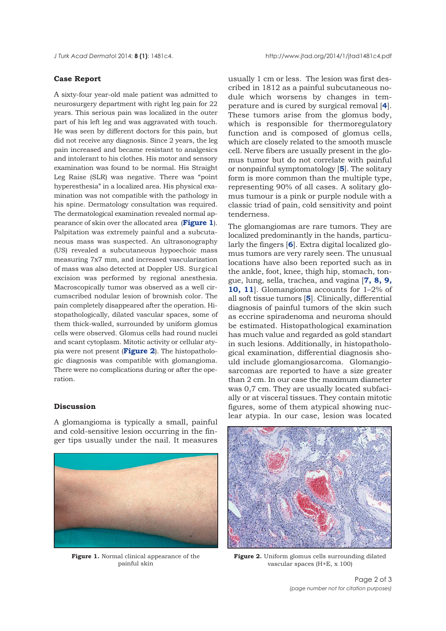#### **Case Report**

A sixty-four year-old male patient was admitted to neurosurgery department with right leg pain for 22 years. This serious pain was localized in the outer part of his left leg and was aggravated with touch. He was seen by different doctors for this pain, but did not receive any diagnosis. Since 2 years, the leg pain increased and became resistant to analgesics and intolerant to his clothes. His motor and sensory examination was found to be normal. His Straight Leg Raise (SLR) was negative. There was "point hyperesthesia" in a localized area. His physical examination was not compatible with the pathology in his spine. Dermatology consultation was required. The dermatological examination revealed normal appearance of skin over the allocated area (**Figure 1**). Palpitation was extremely painful and a subcutaneous mass was suspected. An ultrasonography (US) revealed a subcutaneous hypoechoic mass measuring 7x7 mm, and increased vascularization of mass was also detected at Doppler US. Surgical excision was performed by regional anesthesia. Macroscopically tumor was observed as a well circumscribed nodular lesion of brownish color. The pain completely disappeared after the operation. Histopathologically, dilated vascular spaces, some of them thick-walled, surrounded by uniform glomus cells were observed. Glomus cells had round nuclei and scant cytoplasm. Mitotic activity or cellular atypia were not present (**Figure 2**). The histopathologic diagnosis was compatible with glomangioma. There were no complications during or after the operation.

## **Discussion**

A glomangioma is typically a small, painful and cold-sensitive lesion occurring in the finger tips usually under the nail. It measures



**Figure 1.** Normal clinical appearance of the painful skin

usually 1 cm or less. The lesion was first described in 1812 as a painful subcutaneous nodule which worsens by changes in temperature and is cured by surgical removal [**4**]. These tumors arise from the glomus body, which is responsible for thermoregulatory function and is composed of glomus cells, which are closely related to the smooth muscle cell. Nerve fibers are usually present in the glomus tumor but do not correlate with painful or nonpainful symptomatology [**5**]. The solitary form is more common than the multiple type, representing 90% of all cases. A solitary glomus tumour is a pink or purple nodule with a classic triad of pain, cold sensitivity and point tenderness.

The glomangiomas are rare tumors. They are localized predominantly in the hands, particularly the fingers [**6**]. Extra digital localized glomus tumors are very rarely seen. The unusual locations have also been reported such as in the ankle, foot, knee, thigh hip, stomach, tongue, lung, sella, trachea, and vagina [**7, 8, 9, 10, 11**]. Glomangioma accounts for 1–2% of all soft tissue tumors [**5**]. Clinically, differential diagnosis of painful tumors of the skin such as eccrine spiradenoma and neuroma should be estimated. Histopathological examination has much value and regarded as gold standart in such lesions. Additionally, in histopathological examination, differential diagnosis should include glomangiosarcoma. Glomangiosarcomas are reported to have a size greater than 2 cm. In our case the maximum diameter was 0,7 cm. They are usually located subfacially or at visceral tissues. They contain mitotic figures, some of them atypical showing nuclear atypia. In our case, lesion was located



Figure 2. Uniform glomus cells surrounding dilated vascular spaces (H+E, x 100)